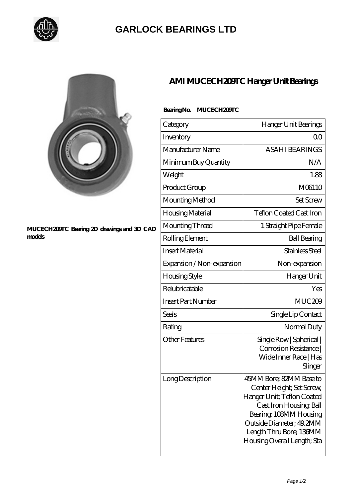

## **[GARLOCK BEARINGS LTD](https://m.letterstopriests.com)**



## **[MUCECH209TC Bearing 2D drawings and 3D CAD](https://m.letterstopriests.com/pic-189175.html) [models](https://m.letterstopriests.com/pic-189175.html)**

## **[AMI MUCECH209TC Hanger Unit Bearings](https://m.letterstopriests.com/am-189175-ami-mucech209tc-hanger-unit-bearings.html)**

|  | Bearing No. MUCECH209TC |
|--|-------------------------|
|--|-------------------------|

| Category                  | Hanger Unit Bearings                                                                                                                                                                                                          |
|---------------------------|-------------------------------------------------------------------------------------------------------------------------------------------------------------------------------------------------------------------------------|
| Inventory                 | QΟ                                                                                                                                                                                                                            |
| Manufacturer Name         | <b>ASAHI BEARINGS</b>                                                                                                                                                                                                         |
| Minimum Buy Quantity      | N/A                                                                                                                                                                                                                           |
| Weight                    | 1.88                                                                                                                                                                                                                          |
| Product Group             | M06110                                                                                                                                                                                                                        |
| Mounting Method           | Set Screw                                                                                                                                                                                                                     |
| Housing Material          | <b>Teflon Coated Cast Iron</b>                                                                                                                                                                                                |
| Mounting Thread           | 1 Straight Pipe Female                                                                                                                                                                                                        |
| Rolling Element           | <b>Ball Bearing</b>                                                                                                                                                                                                           |
| <b>Insert Material</b>    | Stainless Steel                                                                                                                                                                                                               |
| Expansion / Non-expansion | Non-expansion                                                                                                                                                                                                                 |
| Housing Style             | Hanger Unit                                                                                                                                                                                                                   |
| Relubricatable            | Yes                                                                                                                                                                                                                           |
| <b>Insert Part Number</b> | MUC209                                                                                                                                                                                                                        |
| Seals                     | Single Lip Contact                                                                                                                                                                                                            |
| Rating                    | Normal Duty                                                                                                                                                                                                                   |
| <b>Other Features</b>     | Single Row   Spherical  <br>Corrosion Resistance  <br>Wide Inner Race   Has<br>Slinger                                                                                                                                        |
| Long Description          | 45MM Bore; 82MM Base to<br>Center Height; Set Screw,<br>Hanger Unit; Teflon Coated<br>Cast Iron Housing, Ball<br>Bearing, 108MM Housing<br>Outside Diameter; 49.2MM<br>Length Thru Bore; 136MM<br>Housing Overall Length; Sta |